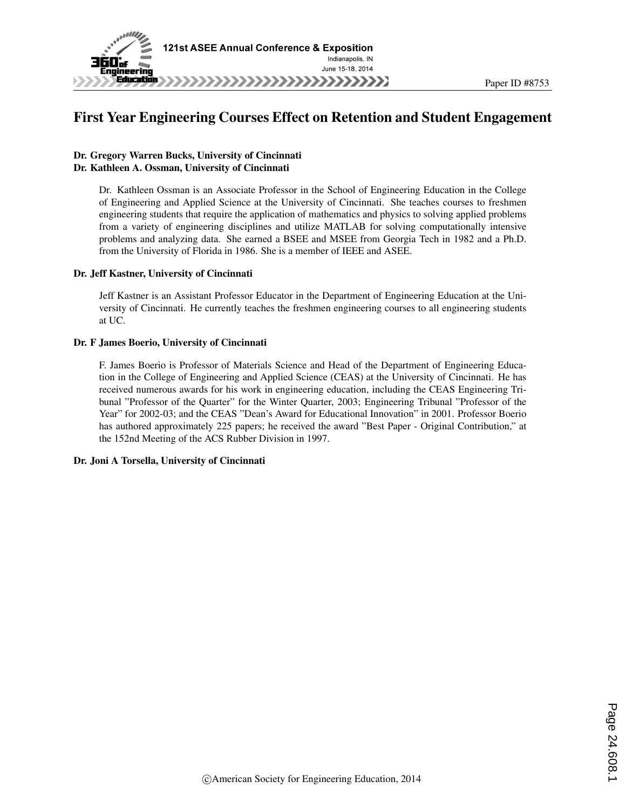

# First Year Engineering Courses Effect on Retention and Student Engagement

#### Dr. Gregory Warren Bucks, University of Cincinnati Dr. Kathleen A. Ossman, University of Cincinnati

Dr. Kathleen Ossman is an Associate Professor in the School of Engineering Education in the College of Engineering and Applied Science at the University of Cincinnati. She teaches courses to freshmen engineering students that require the application of mathematics and physics to solving applied problems from a variety of engineering disciplines and utilize MATLAB for solving computationally intensive problems and analyzing data. She earned a BSEE and MSEE from Georgia Tech in 1982 and a Ph.D. from the University of Florida in 1986. She is a member of IEEE and ASEE.

#### Dr. Jeff Kastner, University of Cincinnati

Jeff Kastner is an Assistant Professor Educator in the Department of Engineering Education at the University of Cincinnati. He currently teaches the freshmen engineering courses to all engineering students at UC.

#### Dr. F James Boerio, University of Cincinnati

F. James Boerio is Professor of Materials Science and Head of the Department of Engineering Education in the College of Engineering and Applied Science (CEAS) at the University of Cincinnati. He has received numerous awards for his work in engineering education, including the CEAS Engineering Tribunal "Professor of the Quarter" for the Winter Quarter, 2003; Engineering Tribunal "Professor of the Year" for 2002-03; and the CEAS "Dean's Award for Educational Innovation" in 2001. Professor Boerio has authored approximately 225 papers; he received the award "Best Paper - Original Contribution," at the 152nd Meeting of the ACS Rubber Division in 1997.

#### Dr. Joni A Torsella, University of Cincinnati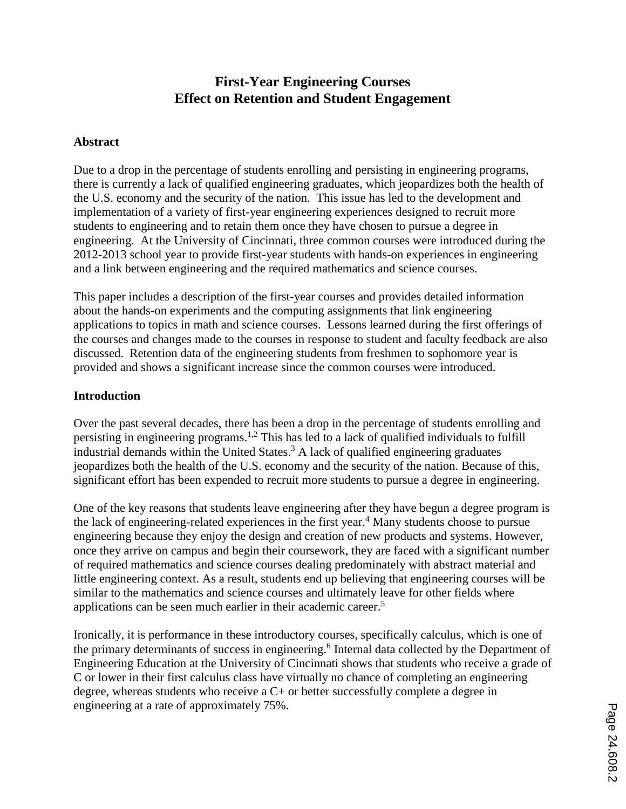# **First-Year Engineering Courses Effect on Retention and Student Engagement**

#### **Abstract**

Due to a drop in the percentage of students enrolling and persisting in engineering programs, there is currently a lack of qualified engineering graduates, which jeopardizes both the health of the U.S. economy and the security of the nation. This issue has led to the development and implementation of a variety of first-year engineering experiences designed to recruit more students to engineering and to retain them once they have chosen to pursue a degree in engineering. At the University of Cincinnati, three common courses were introduced during the 2012-2013 school year to provide first-year students with hands-on experiences in engineering and a link between engineering and the required mathematics and science courses.

This paper includes a description of the first-year courses and provides detailed information about the hands-on experiments and the computing assignments that link engineering applications to topics in math and science courses. Lessons learned during the first offerings of the courses and changes made to the courses in response to student and faculty feedback are also discussed. Retention data of the engineering students from freshmen to sophomore year is provided and shows a significant increase since the common courses were introduced.

### **Introduction**

Over the past several decades, there has been a drop in the percentage of students enrolling and persisting in engineering programs.<sup>1,2</sup> This has led to a lack of qualified individuals to fulfill industrial demands within the United States. <sup>3</sup> A lack of qualified engineering graduates jeopardizes both the health of the U.S. economy and the security of the nation. Because of this, significant effort has been expended to recruit more students to pursue a degree in engineering.

One of the key reasons that students leave engineering after they have begun a degree program is the lack of engineering-related experiences in the first year. <sup>4</sup> Many students choose to pursue engineering because they enjoy the design and creation of new products and systems. However, once they arrive on campus and begin their coursework, they are faced with a significant number of required mathematics and science courses dealing predominately with abstract material and little engineering context. As a result, students end up believing that engineering courses will be similar to the mathematics and science courses and ultimately leave for other fields where applications can be seen much earlier in their academic career. 5

Ironically, it is performance in these introductory courses, specifically calculus, which is one of the primary determinants of success in engineering. 6 Internal data collected by the Department of Engineering Education at the University of Cincinnati shows that students who receive a grade of C or lower in their first calculus class have virtually no chance of completing an engineering degree, whereas students who receive a C+ or better successfully complete a degree in engineering at a rate of approximately 75%.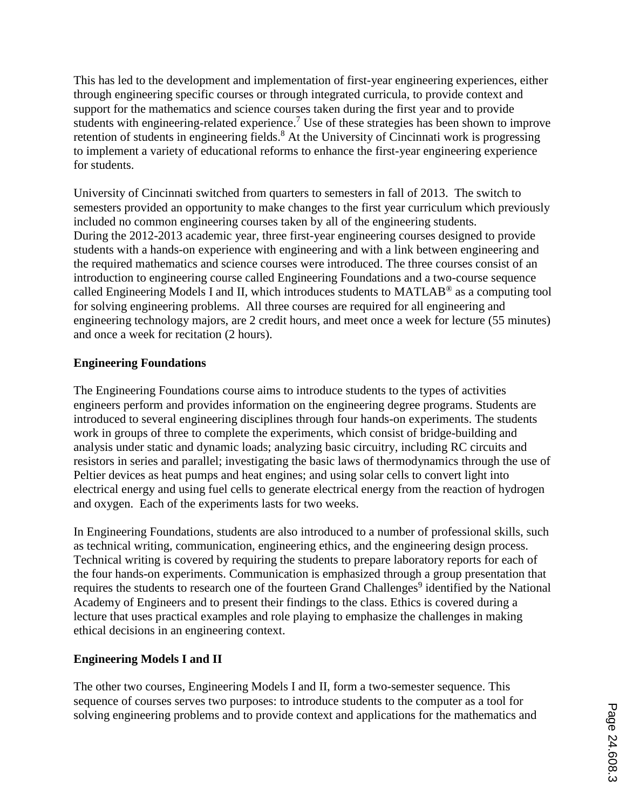This has led to the development and implementation of first-year engineering experiences, either through engineering specific courses or through integrated curricula, to provide context and support for the mathematics and science courses taken during the first year and to provide students with engineering-related experience.<sup>7</sup> Use of these strategies has been shown to improve retention of students in engineering fields.<sup>8</sup> At the University of Cincinnati work is progressing to implement a variety of educational reforms to enhance the first-year engineering experience for students.

University of Cincinnati switched from quarters to semesters in fall of 2013. The switch to semesters provided an opportunity to make changes to the first year curriculum which previously included no common engineering courses taken by all of the engineering students. During the 2012-2013 academic year, three first-year engineering courses designed to provide students with a hands-on experience with engineering and with a link between engineering and the required mathematics and science courses were introduced. The three courses consist of an introduction to engineering course called Engineering Foundations and a two-course sequence called Engineering Models I and II, which introduces students to MATLAB® as a computing tool for solving engineering problems. All three courses are required for all engineering and engineering technology majors, are 2 credit hours, and meet once a week for lecture (55 minutes) and once a week for recitation (2 hours).

### **Engineering Foundations**

The Engineering Foundations course aims to introduce students to the types of activities engineers perform and provides information on the engineering degree programs. Students are introduced to several engineering disciplines through four hands-on experiments. The students work in groups of three to complete the experiments, which consist of bridge-building and analysis under static and dynamic loads; analyzing basic circuitry, including RC circuits and resistors in series and parallel; investigating the basic laws of thermodynamics through the use of Peltier devices as heat pumps and heat engines; and using solar cells to convert light into electrical energy and using fuel cells to generate electrical energy from the reaction of hydrogen and oxygen. Each of the experiments lasts for two weeks.

In Engineering Foundations, students are also introduced to a number of professional skills, such as technical writing, communication, engineering ethics, and the engineering design process. Technical writing is covered by requiring the students to prepare laboratory reports for each of the four hands-on experiments. Communication is emphasized through a group presentation that requires the students to research one of the fourteen Grand Challenges<sup>9</sup> identified by the National Academy of Engineers and to present their findings to the class. Ethics is covered during a lecture that uses practical examples and role playing to emphasize the challenges in making ethical decisions in an engineering context.

# **Engineering Models I and II**

The other two courses, Engineering Models I and II, form a two-semester sequence. This sequence of courses serves two purposes: to introduce students to the computer as a tool for solving engineering problems and to provide context and applications for the mathematics and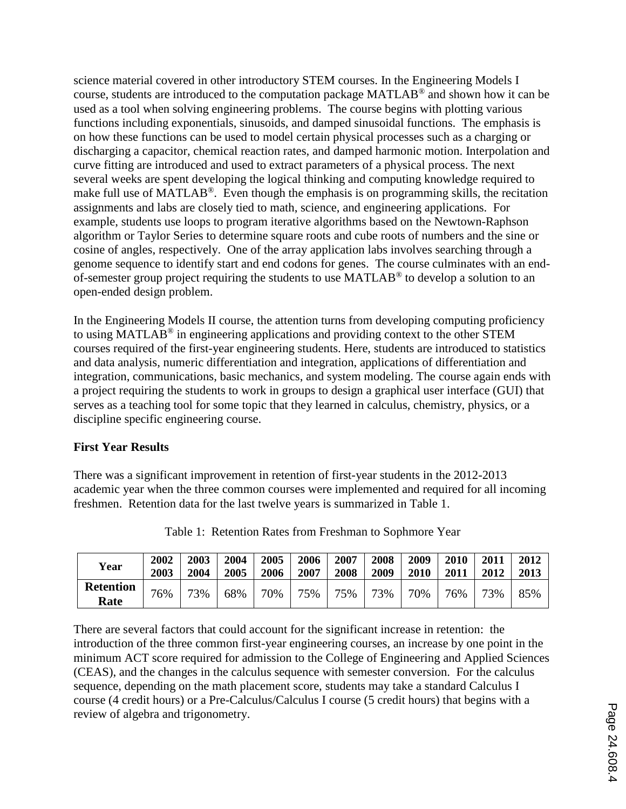science material covered in other introductory STEM courses. In the Engineering Models I course, students are introduced to the computation package MATLAB® and shown how it can be used as a tool when solving engineering problems. The course begins with plotting various functions including exponentials, sinusoids, and damped sinusoidal functions. The emphasis is on how these functions can be used to model certain physical processes such as a charging or discharging a capacitor, chemical reaction rates, and damped harmonic motion. Interpolation and curve fitting are introduced and used to extract parameters of a physical process. The next several weeks are spent developing the logical thinking and computing knowledge required to make full use of MATLAB®. Even though the emphasis is on programming skills, the recitation assignments and labs are closely tied to math, science, and engineering applications. For example, students use loops to program iterative algorithms based on the Newtown-Raphson algorithm or Taylor Series to determine square roots and cube roots of numbers and the sine or cosine of angles, respectively. One of the array application labs involves searching through a genome sequence to identify start and end codons for genes. The course culminates with an endof-semester group project requiring the students to use MATLAB® to develop a solution to an open-ended design problem.

In the Engineering Models II course, the attention turns from developing computing proficiency to using MATLAB® in engineering applications and providing context to the other STEM courses required of the first-year engineering students. Here, students are introduced to statistics and data analysis, numeric differentiation and integration, applications of differentiation and integration, communications, basic mechanics, and system modeling. The course again ends with a project requiring the students to work in groups to design a graphical user interface (GUI) that serves as a teaching tool for some topic that they learned in calculus, chemistry, physics, or a discipline specific engineering course.

### **First Year Results**

There was a significant improvement in retention of first-year students in the 2012-2013 academic year when the three common courses were implemented and required for all incoming freshmen. Retention data for the last twelve years is summarized in Table 1.

| Year                     | 2002 | 2003 | 2004 | 2005 | 2006 | 2007 | 2008 | 2009 | 2010 | 2011 | 2012 |
|--------------------------|------|------|------|------|------|------|------|------|------|------|------|
|                          | 2003 | 2004 | 2005 | 2006 | 2007 | 2008 | 2009 | 2010 | 2011 | 2012 | 2013 |
| <b>Retention</b><br>Rate | 76%  | 73%  | 68%  | 70%  | 75%  | 75%  | 73%  | 70%  | 76%  | 73%  | 85%  |

Table 1: Retention Rates from Freshman to Sophmore Year

There are several factors that could account for the significant increase in retention: the introduction of the three common first-year engineering courses, an increase by one point in the minimum ACT score required for admission to the College of Engineering and Applied Sciences (CEAS), and the changes in the calculus sequence with semester conversion. For the calculus sequence, depending on the math placement score, students may take a standard Calculus I course (4 credit hours) or a Pre-Calculus/Calculus I course (5 credit hours) that begins with a review of algebra and trigonometry.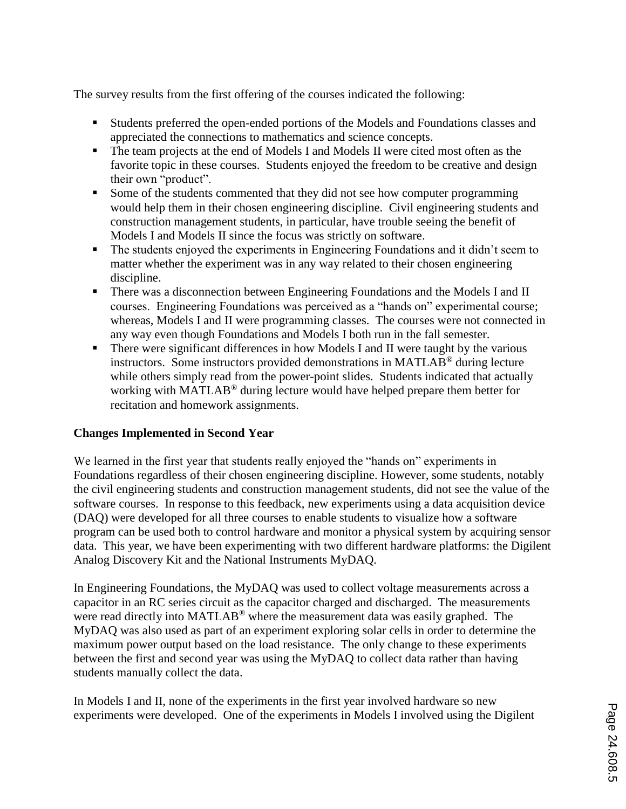The survey results from the first offering of the courses indicated the following:

- Students preferred the open-ended portions of the Models and Foundations classes and appreciated the connections to mathematics and science concepts.
- The team projects at the end of Models I and Models II were cited most often as the favorite topic in these courses. Students enjoyed the freedom to be creative and design their own "product".
- Some of the students commented that they did not see how computer programming would help them in their chosen engineering discipline. Civil engineering students and construction management students, in particular, have trouble seeing the benefit of Models I and Models II since the focus was strictly on software.
- The students enjoyed the experiments in Engineering Foundations and it didn't seem to matter whether the experiment was in any way related to their chosen engineering discipline.
- **There was a disconnection between Engineering Foundations and the Models I and II** courses. Engineering Foundations was perceived as a "hands on" experimental course; whereas, Models I and II were programming classes. The courses were not connected in any way even though Foundations and Models I both run in the fall semester.
- **There were significant differences in how Models I and II were taught by the various** instructors. Some instructors provided demonstrations in MATLAB® during lecture while others simply read from the power-point slides. Students indicated that actually working with MATLAB® during lecture would have helped prepare them better for recitation and homework assignments.

# **Changes Implemented in Second Year**

We learned in the first year that students really enjoyed the "hands on" experiments in Foundations regardless of their chosen engineering discipline. However, some students, notably the civil engineering students and construction management students, did not see the value of the software courses. In response to this feedback, new experiments using a data acquisition device (DAQ) were developed for all three courses to enable students to visualize how a software program can be used both to control hardware and monitor a physical system by acquiring sensor data. This year, we have been experimenting with two different hardware platforms: the Digilent Analog Discovery Kit and the National Instruments MyDAQ.

In Engineering Foundations, the MyDAQ was used to collect voltage measurements across a capacitor in an RC series circuit as the capacitor charged and discharged. The measurements were read directly into MATLAB<sup>®</sup> where the measurement data was easily graphed. The MyDAQ was also used as part of an experiment exploring solar cells in order to determine the maximum power output based on the load resistance. The only change to these experiments between the first and second year was using the MyDAQ to collect data rather than having students manually collect the data.

In Models I and II, none of the experiments in the first year involved hardware so new experiments were developed. One of the experiments in Models I involved using the Digilent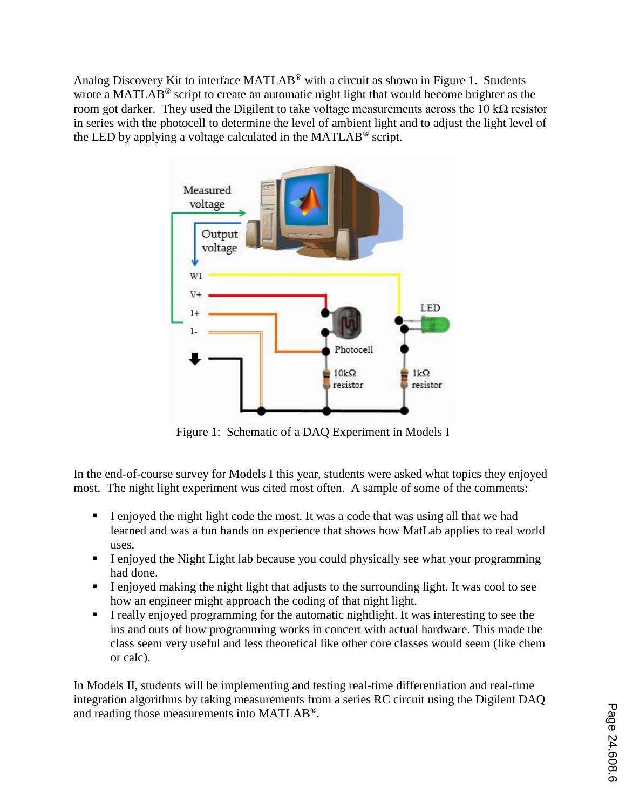Analog Discovery Kit to interface MATLAB® with a circuit as shown in Figure 1. Students wrote a MATLAB<sup>®</sup> script to create an automatic night light that would become brighter as the room got darker. They used the Digilent to take voltage measurements across the 10 kΩ resistor in series with the photocell to determine the level of ambient light and to adjust the light level of the LED by applying a voltage calculated in the MATLAB® script.



Figure 1: Schematic of a DAQ Experiment in Models I

In the end-of-course survey for Models I this year, students were asked what topics they enjoyed most. The night light experiment was cited most often. A sample of some of the comments:

- I enjoyed the night light code the most. It was a code that was using all that we had learned and was a fun hands on experience that shows how MatLab applies to real world uses.
- I enjoyed the Night Light lab because you could physically see what your programming had done.
- I enjoyed making the night light that adjusts to the surrounding light. It was cool to see how an engineer might approach the coding of that night light.
- I really enjoyed programming for the automatic nightlight. It was interesting to see the ins and outs of how programming works in concert with actual hardware. This made the class seem very useful and less theoretical like other core classes would seem (like chem or calc).

In Models II, students will be implementing and testing real-time differentiation and real-time integration algorithms by taking measurements from a series RC circuit using the Digilent DAQ and reading those measurements into MATLAB®.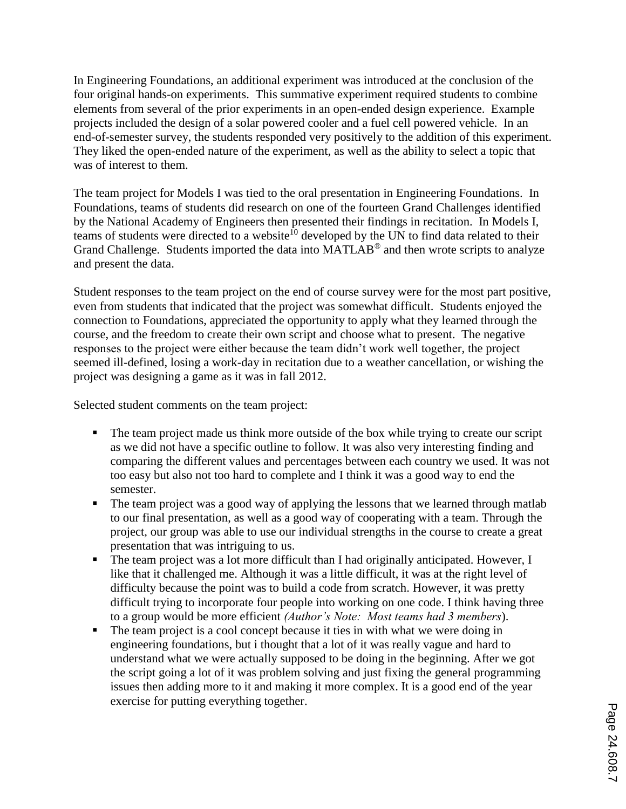In Engineering Foundations, an additional experiment was introduced at the conclusion of the four original hands-on experiments. This summative experiment required students to combine elements from several of the prior experiments in an open-ended design experience. Example projects included the design of a solar powered cooler and a fuel cell powered vehicle. In an end-of-semester survey, the students responded very positively to the addition of this experiment. They liked the open-ended nature of the experiment, as well as the ability to select a topic that was of interest to them.

The team project for Models I was tied to the oral presentation in Engineering Foundations. In Foundations, teams of students did research on one of the fourteen Grand Challenges identified by the National Academy of Engineers then presented their findings in recitation. In Models I, teams of students were directed to a website<sup>10</sup> developed by the UN to find data related to their Grand Challenge. Students imported the data into MATLAB<sup>®</sup> and then wrote scripts to analyze and present the data.

Student responses to the team project on the end of course survey were for the most part positive, even from students that indicated that the project was somewhat difficult. Students enjoyed the connection to Foundations, appreciated the opportunity to apply what they learned through the course, and the freedom to create their own script and choose what to present. The negative responses to the project were either because the team didn't work well together, the project seemed ill-defined, losing a work-day in recitation due to a weather cancellation, or wishing the project was designing a game as it was in fall 2012.

Selected student comments on the team project:

- The team project made us think more outside of the box while trying to create our script as we did not have a specific outline to follow. It was also very interesting finding and comparing the different values and percentages between each country we used. It was not too easy but also not too hard to complete and I think it was a good way to end the semester.
- The team project was a good way of applying the lessons that we learned through matlab to our final presentation, as well as a good way of cooperating with a team. Through the project, our group was able to use our individual strengths in the course to create a great presentation that was intriguing to us.
- The team project was a lot more difficult than I had originally anticipated. However, I like that it challenged me. Although it was a little difficult, it was at the right level of difficulty because the point was to build a code from scratch. However, it was pretty difficult trying to incorporate four people into working on one code. I think having three to a group would be more efficient *(Author's Note: Most teams had 3 members*).
- The team project is a cool concept because it ties in with what we were doing in engineering foundations, but i thought that a lot of it was really vague and hard to understand what we were actually supposed to be doing in the beginning. After we got the script going a lot of it was problem solving and just fixing the general programming issues then adding more to it and making it more complex. It is a good end of the year exercise for putting everything together.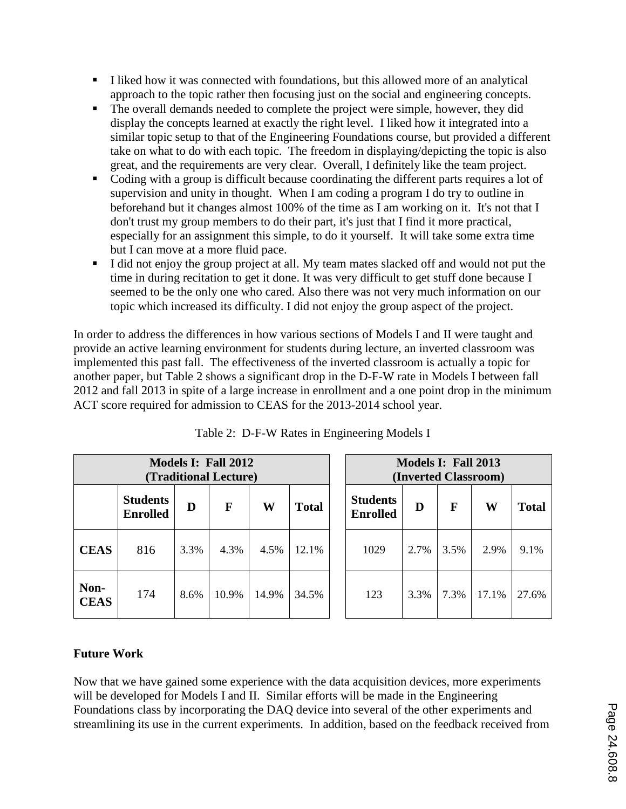- I liked how it was connected with foundations, but this allowed more of an analytical approach to the topic rather then focusing just on the social and engineering concepts.
- The overall demands needed to complete the project were simple, however, they did display the concepts learned at exactly the right level. I liked how it integrated into a similar topic setup to that of the Engineering Foundations course, but provided a different take on what to do with each topic. The freedom in displaying/depicting the topic is also great, and the requirements are very clear. Overall, I definitely like the team project.
- Coding with a group is difficult because coordinating the different parts requires a lot of supervision and unity in thought. When I am coding a program I do try to outline in beforehand but it changes almost 100% of the time as I am working on it. It's not that I don't trust my group members to do their part, it's just that I find it more practical, especially for an assignment this simple, to do it yourself. It will take some extra time but I can move at a more fluid pace.
- I did not enjoy the group project at all. My team mates slacked off and would not put the time in during recitation to get it done. It was very difficult to get stuff done because I seemed to be the only one who cared. Also there was not very much information on our topic which increased its difficulty. I did not enjoy the group aspect of the project.

In order to address the differences in how various sections of Models I and II were taught and provide an active learning environment for students during lecture, an inverted classroom was implemented this past fall. The effectiveness of the inverted classroom is actually a topic for another paper, but Table 2 shows a significant drop in the D-F-W rate in Models I between fall 2012 and fall 2013 in spite of a large increase in enrollment and a one point drop in the minimum ACT score required for admission to CEAS for the 2013-2014 school year.

| Models I: Fall 2012<br>(Traditional Lecture) |                                    |      |       |       |              | Models I: Fall 2013<br>(Inverted Classroom) |      |      |       |              |  |
|----------------------------------------------|------------------------------------|------|-------|-------|--------------|---------------------------------------------|------|------|-------|--------------|--|
|                                              | <b>Students</b><br><b>Enrolled</b> | D    | F     | W     | <b>Total</b> | <b>Students</b><br><b>Enrolled</b>          | D    | F    | W     | <b>Total</b> |  |
| <b>CEAS</b>                                  | 816                                | 3.3% | 4.3%  | 4.5%  | 12.1%        | 1029                                        | 2.7% | 3.5% | 2.9%  | 9.1%         |  |
| Non-<br><b>CEAS</b>                          | 174                                | 8.6% | 10.9% | 14.9% | 34.5%        | 123                                         | 3.3% | 7.3% | 17.1% | 27.6%        |  |

Table 2: D-F-W Rates in Engineering Models I

# **Future Work**

Now that we have gained some experience with the data acquisition devices, more experiments will be developed for Models I and II. Similar efforts will be made in the Engineering Foundations class by incorporating the DAQ device into several of the other experiments and streamlining its use in the current experiments. In addition, based on the feedback received from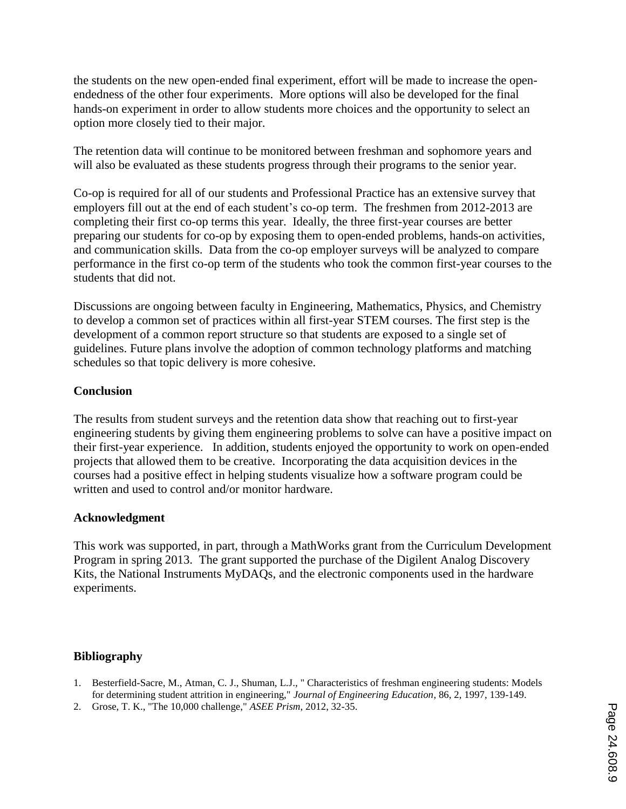the students on the new open-ended final experiment, effort will be made to increase the openendedness of the other four experiments. More options will also be developed for the final hands-on experiment in order to allow students more choices and the opportunity to select an option more closely tied to their major.

The retention data will continue to be monitored between freshman and sophomore years and will also be evaluated as these students progress through their programs to the senior year.

Co-op is required for all of our students and Professional Practice has an extensive survey that employers fill out at the end of each student's co-op term. The freshmen from 2012-2013 are completing their first co-op terms this year. Ideally, the three first-year courses are better preparing our students for co-op by exposing them to open-ended problems, hands-on activities, and communication skills. Data from the co-op employer surveys will be analyzed to compare performance in the first co-op term of the students who took the common first-year courses to the students that did not.

Discussions are ongoing between faculty in Engineering, Mathematics, Physics, and Chemistry to develop a common set of practices within all first-year STEM courses. The first step is the development of a common report structure so that students are exposed to a single set of guidelines. Future plans involve the adoption of common technology platforms and matching schedules so that topic delivery is more cohesive.

### **Conclusion**

The results from student surveys and the retention data show that reaching out to first-year engineering students by giving them engineering problems to solve can have a positive impact on their first-year experience. In addition, students enjoyed the opportunity to work on open-ended projects that allowed them to be creative. Incorporating the data acquisition devices in the courses had a positive effect in helping students visualize how a software program could be written and used to control and/or monitor hardware.

#### **Acknowledgment**

This work was supported, in part, through a MathWorks grant from the Curriculum Development Program in spring 2013. The grant supported the purchase of the Digilent Analog Discovery Kits, the National Instruments MyDAQs, and the electronic components used in the hardware experiments.

### **Bibliography**

- 1. Besterfield-Sacre, M., Atman, C. J., Shuman, L.J., " Characteristics of freshman engineering students: Models for determining student attrition in engineering," *Journal of Engineering Education*, 86, 2, 1997, 139-149.
- 2. Grose, T. K., "The 10,000 challenge," *ASEE Prism*, 2012, 32-35.